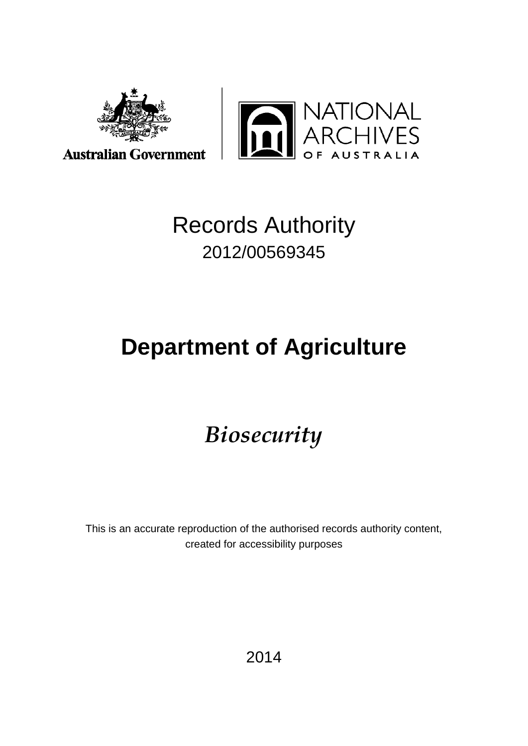



## Records Authority 2012/00569345

# **Department of Agriculture**

## *Biosecurity*

This is an accurate reproduction of the authorised records authority content, created for accessibility purposes

2014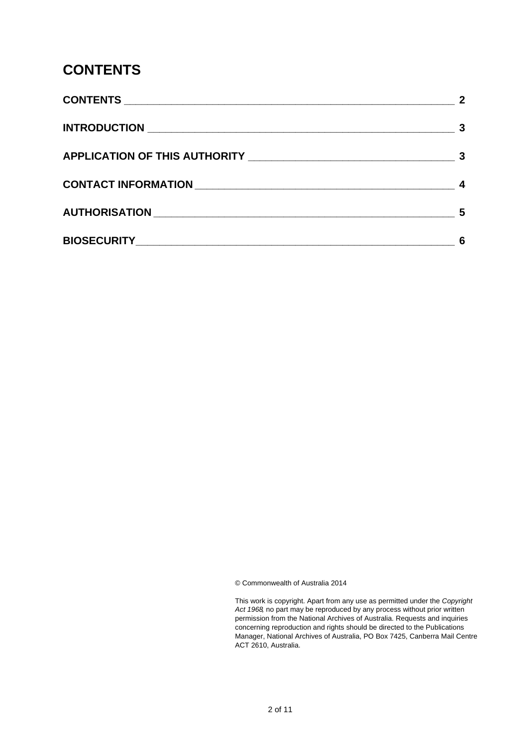### <span id="page-1-0"></span>**CONTENTS**

| 5 |
|---|
| 6 |

© Commonwealth of Australia 2014

This work is copyright. Apart from any use as permitted under the *Copyright Act 1968,* no part may be reproduced by any process without prior written permission from the National Archives of Australia. Requests and inquiries concerning reproduction and rights should be directed to the Publications Manager, National Archives of Australia, PO Box 7425, Canberra Mail Centre ACT 2610, Australia.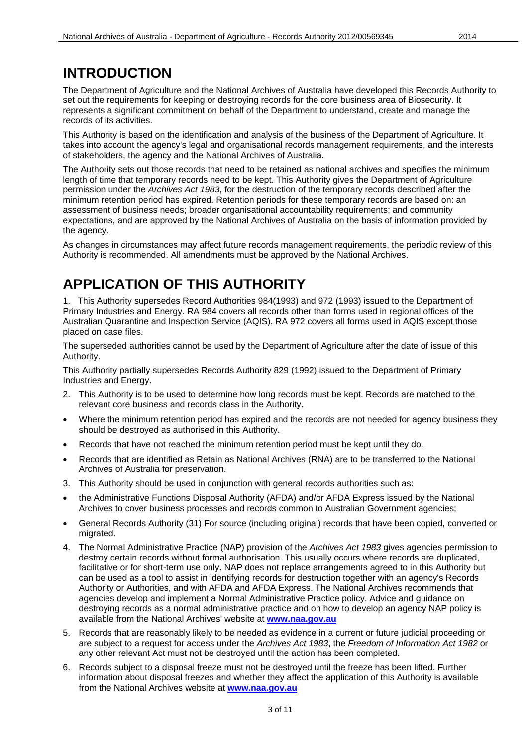### <span id="page-2-0"></span>**INTRODUCTION**

The Department of Agriculture and the National Archives of Australia have developed this Records Authority to set out the requirements for keeping or destroying records for the core business area of Biosecurity. It represents a significant commitment on behalf of the Department to understand, create and manage the records of its activities.

This Authority is based on the identification and analysis of the business of the Department of Agriculture. It takes into account the agency's legal and organisational records management requirements, and the interests of stakeholders, the agency and the National Archives of Australia.

The Authority sets out those records that need to be retained as national archives and specifies the minimum length of time that temporary records need to be kept. This Authority gives the Department of Agriculture permission under the *Archives Act 1983*, for the destruction of the temporary records described after the minimum retention period has expired. Retention periods for these temporary records are based on: an assessment of business needs; broader organisational accountability requirements; and community expectations, and are approved by the National Archives of Australia on the basis of information provided by the agency.

As changes in circumstances may affect future records management requirements, the periodic review of this Authority is recommended. All amendments must be approved by the National Archives.

### <span id="page-2-1"></span>**APPLICATION OF THIS AUTHORITY**

1. This Authority supersedes Record Authorities 984(1993) and 972 (1993) issued to the Department of Primary Industries and Energy. RA 984 covers all records other than forms used in regional offices of the Australian Quarantine and Inspection Service (AQIS). RA 972 covers all forms used in AQIS except those placed on case files.

The superseded authorities cannot be used by the Department of Agriculture after the date of issue of this Authority.

This Authority partially supersedes Records Authority 829 (1992) issued to the Department of Primary Industries and Energy.

- 2. This Authority is to be used to determine how long records must be kept. Records are matched to the relevant core business and records class in the Authority.
- Where the minimum retention period has expired and the records are not needed for agency business they should be destroyed as authorised in this Authority.
- Records that have not reached the minimum retention period must be kept until they do.
- Records that are identified as Retain as National Archives (RNA) are to be transferred to the National Archives of Australia for preservation.
- 3. This Authority should be used in conjunction with general records authorities such as:
- the Administrative Functions Disposal Authority (AFDA) and/or AFDA Express issued by the National Archives to cover business processes and records common to Australian Government agencies;
- General Records Authority (31) For source (including original) records that have been copied, converted or migrated.
- 4. The Normal Administrative Practice (NAP) provision of the *Archives Act 1983* gives agencies permission to destroy certain records without formal authorisation. This usually occurs where records are duplicated, facilitative or for short-term use only. NAP does not replace arrangements agreed to in this Authority but can be used as a tool to assist in identifying records for destruction together with an agency's Records Authority or Authorities, and with AFDA and AFDA Express. The National Archives recommends that agencies develop and implement a Normal Administrative Practice policy. Advice and guidance on destroying records as a normal administrative practice and on how to develop an agency NAP policy is available from the National Archives' website at **[www.naa.gov.au](http://www.naa.gov.au/)**
- 5. Records that are reasonably likely to be needed as evidence in a current or future judicial proceeding or are subject to a request for access under the *Archives Act 1983*, the *Freedom of Information Act 1982* or any other relevant Act must not be destroyed until the action has been completed.
- 6. Records subject to a disposal freeze must not be destroyed until the freeze has been lifted. Further information about disposal freezes and whether they affect the application of this Authority is available from the National Archives website at **[www.naa.gov.au](http://www.naa.gov.au/)**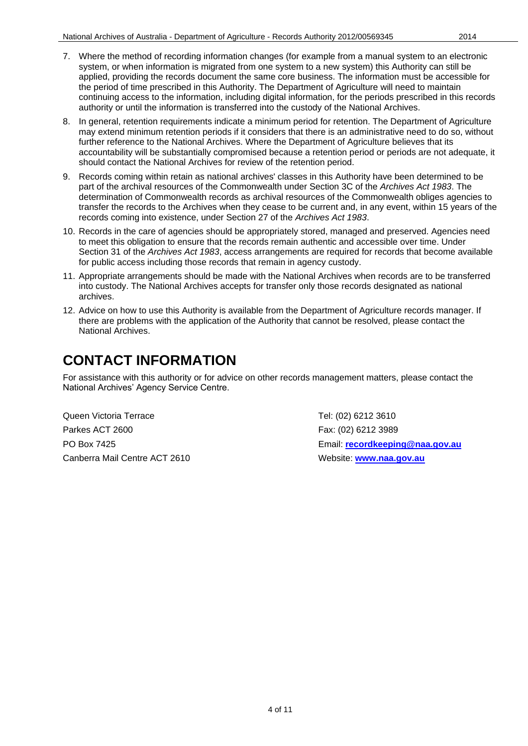- 7. Where the method of recording information changes (for example from a manual system to an electronic system, or when information is migrated from one system to a new system) this Authority can still be applied, providing the records document the same core business. The information must be accessible for the period of time prescribed in this Authority. The Department of Agriculture will need to maintain continuing access to the information, including digital information, for the periods prescribed in this records authority or until the information is transferred into the custody of the National Archives.
- 8. In general, retention requirements indicate a minimum period for retention. The Department of Agriculture may extend minimum retention periods if it considers that there is an administrative need to do so, without further reference to the National Archives. Where the Department of Agriculture believes that its accountability will be substantially compromised because a retention period or periods are not adequate, it should contact the National Archives for review of the retention period.
- 9. Records coming within retain as national archives' classes in this Authority have been determined to be part of the archival resources of the Commonwealth under Section 3C of the *Archives Act 1983*. The determination of Commonwealth records as archival resources of the Commonwealth obliges agencies to transfer the records to the Archives when they cease to be current and, in any event, within 15 years of the records coming into existence, under Section 27 of the *Archives Act 1983*.
- 10. Records in the care of agencies should be appropriately stored, managed and preserved. Agencies need to meet this obligation to ensure that the records remain authentic and accessible over time. Under Section 31 of the *Archives Act 1983*, access arrangements are required for records that become available for public access including those records that remain in agency custody.
- 11. Appropriate arrangements should be made with the National Archives when records are to be transferred into custody. The National Archives accepts for transfer only those records designated as national archives.
- 12. Advice on how to use this Authority is available from the Department of Agriculture records manager. If there are problems with the application of the Authority that cannot be resolved, please contact the National Archives.

### <span id="page-3-0"></span>**CONTACT INFORMATION**

For assistance with this authority or for advice on other records management matters, please contact the National Archives' Agency Service Centre.

Queen Victoria Terrace Tel: (02) 6212 3610 Parkes ACT 2600 **Fax: (02) 6212 3989** Canberra Mail Centre ACT 2610 Website: **[www.naa.gov.au](http://www.naa.gov.au/)**

PO Box 7425 Email: **[recordkeeping@naa.gov.au](mailto:recordkeeping@naa.gov.au)**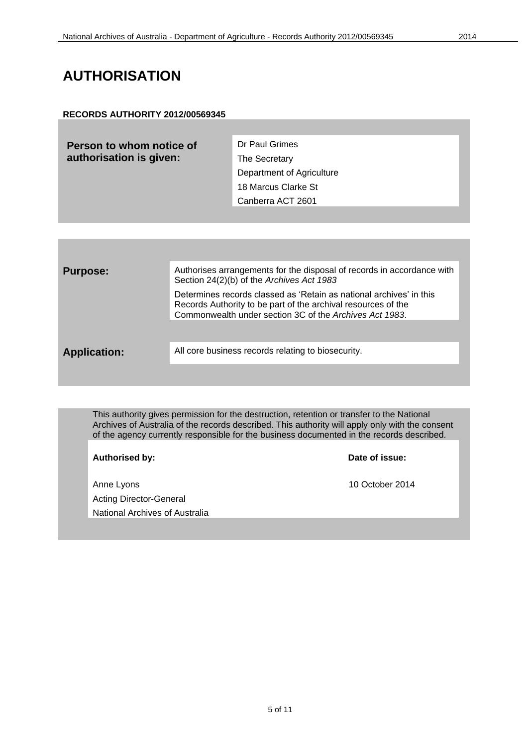### <span id="page-4-0"></span>**AUTHORISATION**

#### **RECORDS AUTHORITY 2012/00569345**

| Person to whom notice of | Dr Paul Grimes            |
|--------------------------|---------------------------|
| authorisation is given:  | The Secretary             |
|                          | Department of Agriculture |
|                          | 18 Marcus Clarke St       |
|                          | Canberra ACT 2601         |

| <b>Purpose:</b>     | Authorises arrangements for the disposal of records in accordance with<br>Section 24(2)(b) of the Archives Act 1983                                                                             |
|---------------------|-------------------------------------------------------------------------------------------------------------------------------------------------------------------------------------------------|
|                     | Determines records classed as 'Retain as national archives' in this<br>Records Authority to be part of the archival resources of the<br>Commonwealth under section 3C of the Archives Act 1983. |
| <b>Application:</b> | All core business records relating to biosecurity.                                                                                                                                              |
|                     |                                                                                                                                                                                                 |

This authority gives permission for the destruction, retention or transfer to the National Archives of Australia of the records described. This authority will apply only with the consent of the agency currently responsible for the business documented in the records described.

| <b>Authorised by:</b>          | Date of issue:  |
|--------------------------------|-----------------|
| Anne Lyons                     | 10 October 2014 |
| <b>Acting Director-General</b> |                 |
| National Archives of Australia |                 |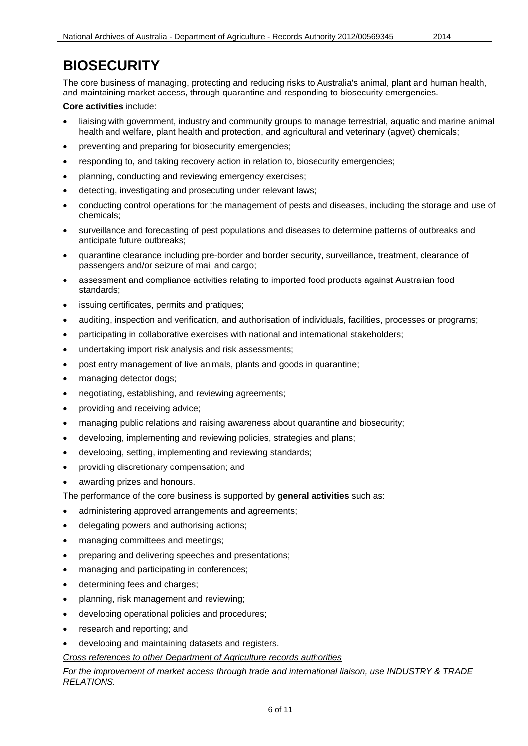<span id="page-5-0"></span>The core business of managing, protecting and reducing risks to Australia's animal, plant and human health, and maintaining market access, through quarantine and responding to biosecurity emergencies.

#### **Core activities** include:

- liaising with government, industry and community groups to manage terrestrial, aquatic and marine animal health and welfare, plant health and protection, and agricultural and veterinary (agvet) chemicals;
- preventing and preparing for biosecurity emergencies;
- responding to, and taking recovery action in relation to, biosecurity emergencies;
- planning, conducting and reviewing emergency exercises;
- detecting, investigating and prosecuting under relevant laws;
- conducting control operations for the management of pests and diseases, including the storage and use of chemicals;
- surveillance and forecasting of pest populations and diseases to determine patterns of outbreaks and anticipate future outbreaks;
- quarantine clearance including pre-border and border security, surveillance, treatment, clearance of passengers and/or seizure of mail and cargo;
- assessment and compliance activities relating to imported food products against Australian food standards;
- issuing certificates, permits and pratiques;
- auditing, inspection and verification, and authorisation of individuals, facilities, processes or programs;
- participating in collaborative exercises with national and international stakeholders;
- undertaking import risk analysis and risk assessments;
- post entry management of live animals, plants and goods in quarantine;
- managing detector dogs;
- negotiating, establishing, and reviewing agreements;
- providing and receiving advice;
- managing public relations and raising awareness about quarantine and biosecurity;
- developing, implementing and reviewing policies, strategies and plans;
- developing, setting, implementing and reviewing standards;
- providing discretionary compensation; and
- awarding prizes and honours.
- The performance of the core business is supported by **general activities** such as:
- administering approved arrangements and agreements;
- delegating powers and authorising actions;
- managing committees and meetings;
- preparing and delivering speeches and presentations;
- managing and participating in conferences;
- determining fees and charges;
- planning, risk management and reviewing;
- developing operational policies and procedures;
- research and reporting; and
- developing and maintaining datasets and registers.

#### *Cross references to other Department of Agriculture records authorities*

*For the improvement of market access through trade and international liaison, use INDUSTRY & TRADE RELATIONS.*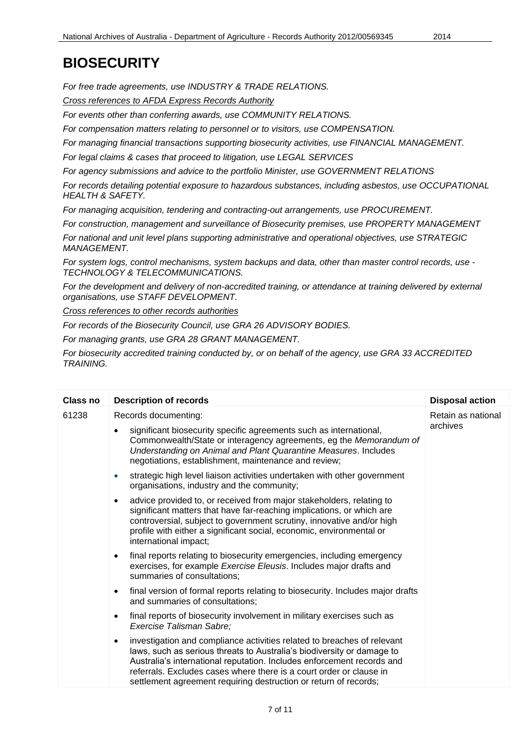*For free trade agreements, use INDUSTRY & TRADE RELATIONS.*

*Cross references to AFDA Express Records Authority*

*For events other than conferring awards, use COMMUNITY RELATIONS.*

*For compensation matters relating to personnel or to visitors, use COMPENSATION.*

*For managing financial transactions supporting biosecurity activities, use FINANCIAL MANAGEMENT.*

*For legal claims & cases that proceed to litigation, use LEGAL SERVICES*

*For agency submissions and advice to the portfolio Minister, use GOVERNMENT RELATIONS*

*For records detailing potential exposure to hazardous substances, including asbestos, use OCCUPATIONAL HEALTH & SAFETY.*

*For managing acquisition, tendering and contracting-out arrangements, use PROCUREMENT.*

*For construction, management and surveillance of Biosecurity premises, use PROPERTY MANAGEMENT*

*For national and unit level plans supporting administrative and operational objectives, use STRATEGIC MANAGEMENT.*

*For system logs, control mechanisms, system backups and data, other than master control records, use - TECHNOLOGY & TELECOMMUNICATIONS.*

For the development and delivery of non-accredited training, or attendance at training delivered by external *organisations, use STAFF DEVELOPMENT.*

*Cross references to other records authorities*

*For records of the Biosecurity Council, use GRA 26 ADVISORY BODIES.*

*For managing grants, use GRA 28 GRANT MANAGEMENT.*

*For biosecurity accredited training conducted by, or on behalf of the agency, use GRA 33 ACCREDITED TRAINING.*

| Class no | <b>Description of records</b>                                                                                                                                                                                                                                                                                                                                                       | <b>Disposal action</b> |
|----------|-------------------------------------------------------------------------------------------------------------------------------------------------------------------------------------------------------------------------------------------------------------------------------------------------------------------------------------------------------------------------------------|------------------------|
| 61238    | Records documenting:                                                                                                                                                                                                                                                                                                                                                                | Retain as national     |
|          | significant biosecurity specific agreements such as international,<br>$\bullet$<br>Commonwealth/State or interagency agreements, eg the Memorandum of<br>Understanding on Animal and Plant Quarantine Measures. Includes<br>negotiations, establishment, maintenance and review;                                                                                                    | archives               |
|          | strategic high level liaison activities undertaken with other government<br>$\bullet$<br>organisations, industry and the community;                                                                                                                                                                                                                                                 |                        |
|          | advice provided to, or received from major stakeholders, relating to<br>$\bullet$<br>significant matters that have far-reaching implications, or which are<br>controversial, subject to government scrutiny, innovative and/or high<br>profile with either a significant social, economic, environmental or<br>international impact;                                                |                        |
|          | final reports relating to biosecurity emergencies, including emergency<br>$\bullet$<br>exercises, for example Exercise Eleusis. Includes major drafts and<br>summaries of consultations;                                                                                                                                                                                            |                        |
|          | final version of formal reports relating to biosecurity. Includes major drafts<br>$\bullet$<br>and summaries of consultations;                                                                                                                                                                                                                                                      |                        |
|          | final reports of biosecurity involvement in military exercises such as<br>$\bullet$<br>Exercise Talisman Sabre;                                                                                                                                                                                                                                                                     |                        |
|          | investigation and compliance activities related to breaches of relevant<br>$\bullet$<br>laws, such as serious threats to Australia's biodiversity or damage to<br>Australia's international reputation. Includes enforcement records and<br>referrals. Excludes cases where there is a court order or clause in<br>settlement agreement requiring destruction or return of records; |                        |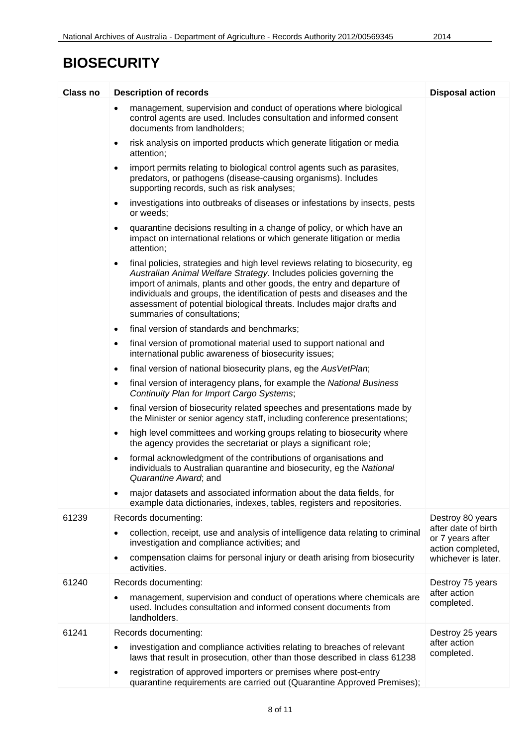| <b>Class no</b> | <b>Description of records</b>                                                                                                                                                                                                                                                                                                                                                                                                  | <b>Disposal action</b>                                       |
|-----------------|--------------------------------------------------------------------------------------------------------------------------------------------------------------------------------------------------------------------------------------------------------------------------------------------------------------------------------------------------------------------------------------------------------------------------------|--------------------------------------------------------------|
|                 | management, supervision and conduct of operations where biological<br>$\bullet$<br>control agents are used. Includes consultation and informed consent<br>documents from landholders;                                                                                                                                                                                                                                          |                                                              |
|                 | risk analysis on imported products which generate litigation or media<br>$\bullet$<br>attention;                                                                                                                                                                                                                                                                                                                               |                                                              |
|                 | import permits relating to biological control agents such as parasites,<br>$\bullet$<br>predators, or pathogens (disease-causing organisms). Includes<br>supporting records, such as risk analyses;                                                                                                                                                                                                                            |                                                              |
|                 | investigations into outbreaks of diseases or infestations by insects, pests<br>$\bullet$<br>or weeds;                                                                                                                                                                                                                                                                                                                          |                                                              |
|                 | quarantine decisions resulting in a change of policy, or which have an<br>$\bullet$<br>impact on international relations or which generate litigation or media<br>attention;                                                                                                                                                                                                                                                   |                                                              |
|                 | final policies, strategies and high level reviews relating to biosecurity, eg<br>$\bullet$<br>Australian Animal Welfare Strategy. Includes policies governing the<br>import of animals, plants and other goods, the entry and departure of<br>individuals and groups, the identification of pests and diseases and the<br>assessment of potential biological threats. Includes major drafts and<br>summaries of consultations; |                                                              |
|                 | final version of standards and benchmarks;<br>$\bullet$                                                                                                                                                                                                                                                                                                                                                                        |                                                              |
|                 | final version of promotional material used to support national and<br>$\bullet$<br>international public awareness of biosecurity issues;                                                                                                                                                                                                                                                                                       |                                                              |
|                 | final version of national biosecurity plans, eg the AusVetPlan;<br>$\bullet$                                                                                                                                                                                                                                                                                                                                                   |                                                              |
|                 | final version of interagency plans, for example the National Business<br>$\bullet$<br>Continuity Plan for Import Cargo Systems;                                                                                                                                                                                                                                                                                                |                                                              |
|                 | final version of biosecurity related speeches and presentations made by<br>$\bullet$<br>the Minister or senior agency staff, including conference presentations;                                                                                                                                                                                                                                                               |                                                              |
|                 | high level committees and working groups relating to biosecurity where<br>$\bullet$<br>the agency provides the secretariat or plays a significant role;                                                                                                                                                                                                                                                                        |                                                              |
|                 | formal acknowledgment of the contributions of organisations and<br>$\bullet$<br>individuals to Australian quarantine and biosecurity, eg the National<br>Quarantine Award; and                                                                                                                                                                                                                                                 |                                                              |
|                 | major datasets and associated information about the data fields, for<br>$\bullet$<br>example data dictionaries, indexes, tables, registers and repositories.                                                                                                                                                                                                                                                                   |                                                              |
| 61239           | Records documenting:                                                                                                                                                                                                                                                                                                                                                                                                           | Destroy 80 years                                             |
|                 | collection, receipt, use and analysis of intelligence data relating to criminal<br>$\bullet$<br>investigation and compliance activities; and                                                                                                                                                                                                                                                                                   | after date of birth<br>or 7 years after<br>action completed, |
|                 | compensation claims for personal injury or death arising from biosecurity<br>٠<br>activities.                                                                                                                                                                                                                                                                                                                                  | whichever is later.                                          |
| 61240           | Records documenting:                                                                                                                                                                                                                                                                                                                                                                                                           | Destroy 75 years                                             |
|                 | management, supervision and conduct of operations where chemicals are<br>$\bullet$<br>used. Includes consultation and informed consent documents from<br>landholders.                                                                                                                                                                                                                                                          | after action<br>completed.                                   |
| 61241           | Records documenting:                                                                                                                                                                                                                                                                                                                                                                                                           | Destroy 25 years                                             |
|                 | investigation and compliance activities relating to breaches of relevant<br>$\bullet$<br>laws that result in prosecution, other than those described in class 61238                                                                                                                                                                                                                                                            | after action<br>completed.                                   |
|                 | registration of approved importers or premises where post-entry<br>$\bullet$<br>quarantine requirements are carried out (Quarantine Approved Premises);                                                                                                                                                                                                                                                                        |                                                              |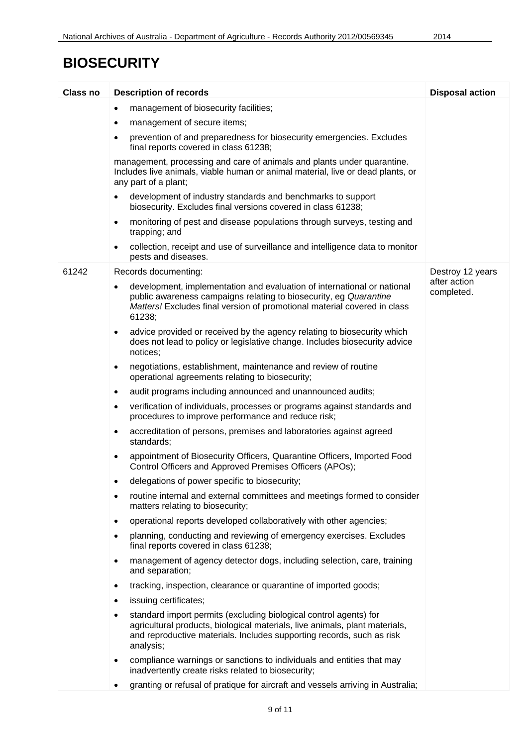| <b>Class no</b> | <b>Description of records</b>                                                                                                                                                                                                                       | <b>Disposal action</b>     |
|-----------------|-----------------------------------------------------------------------------------------------------------------------------------------------------------------------------------------------------------------------------------------------------|----------------------------|
|                 | management of biosecurity facilities;<br>$\bullet$                                                                                                                                                                                                  |                            |
|                 | management of secure items;<br>$\bullet$                                                                                                                                                                                                            |                            |
|                 | prevention of and preparedness for biosecurity emergencies. Excludes<br>$\bullet$<br>final reports covered in class 61238;                                                                                                                          |                            |
|                 | management, processing and care of animals and plants under quarantine.<br>Includes live animals, viable human or animal material, live or dead plants, or<br>any part of a plant;                                                                  |                            |
|                 | development of industry standards and benchmarks to support<br>$\bullet$<br>biosecurity. Excludes final versions covered in class 61238;                                                                                                            |                            |
|                 | monitoring of pest and disease populations through surveys, testing and<br>$\bullet$<br>trapping; and                                                                                                                                               |                            |
|                 | collection, receipt and use of surveillance and intelligence data to monitor<br>٠<br>pests and diseases.                                                                                                                                            |                            |
| 61242           | Records documenting:                                                                                                                                                                                                                                | Destroy 12 years           |
|                 | development, implementation and evaluation of international or national<br>$\bullet$<br>public awareness campaigns relating to biosecurity, eg Quarantine<br>Matters! Excludes final version of promotional material covered in class<br>61238;     | after action<br>completed. |
|                 | advice provided or received by the agency relating to biosecurity which<br>$\bullet$<br>does not lead to policy or legislative change. Includes biosecurity advice<br>notices;                                                                      |                            |
|                 | negotiations, establishment, maintenance and review of routine<br>$\bullet$<br>operational agreements relating to biosecurity;                                                                                                                      |                            |
|                 | audit programs including announced and unannounced audits;<br>$\bullet$                                                                                                                                                                             |                            |
|                 | verification of individuals, processes or programs against standards and<br>$\bullet$<br>procedures to improve performance and reduce risk;                                                                                                         |                            |
|                 | accreditation of persons, premises and laboratories against agreed<br>$\bullet$<br>standards;                                                                                                                                                       |                            |
|                 | appointment of Biosecurity Officers, Quarantine Officers, Imported Food<br>$\bullet$<br>Control Officers and Approved Premises Officers (APOs);                                                                                                     |                            |
|                 | delegations of power specific to biosecurity;<br>$\bullet$                                                                                                                                                                                          |                            |
|                 | routine internal and external committees and meetings formed to consider<br>$\bullet$<br>matters relating to biosecurity;                                                                                                                           |                            |
|                 | operational reports developed collaboratively with other agencies;<br>$\bullet$                                                                                                                                                                     |                            |
|                 | planning, conducting and reviewing of emergency exercises. Excludes<br>$\bullet$<br>final reports covered in class 61238;                                                                                                                           |                            |
|                 | management of agency detector dogs, including selection, care, training<br>$\bullet$<br>and separation;                                                                                                                                             |                            |
|                 | tracking, inspection, clearance or quarantine of imported goods;<br>$\bullet$                                                                                                                                                                       |                            |
|                 | issuing certificates;<br>$\bullet$                                                                                                                                                                                                                  |                            |
|                 | standard import permits (excluding biological control agents) for<br>$\bullet$<br>agricultural products, biological materials, live animals, plant materials,<br>and reproductive materials. Includes supporting records, such as risk<br>analysis; |                            |
|                 | compliance warnings or sanctions to individuals and entities that may<br>$\bullet$<br>inadvertently create risks related to biosecurity;                                                                                                            |                            |
|                 | granting or refusal of pratique for aircraft and vessels arriving in Australia;<br>$\bullet$                                                                                                                                                        |                            |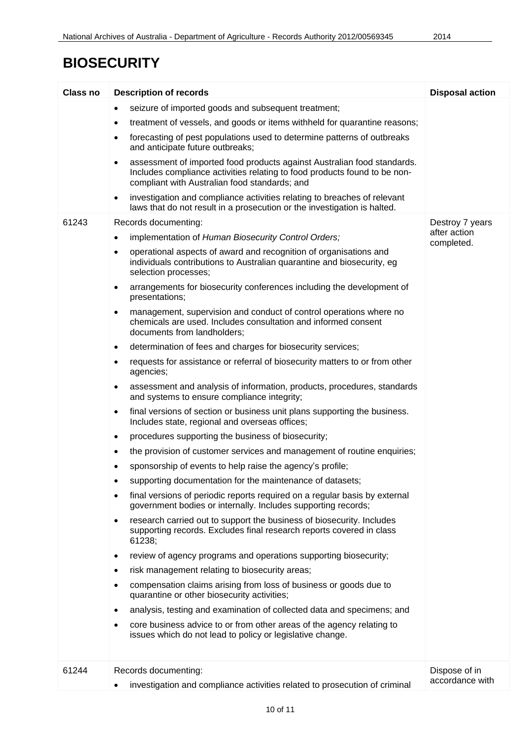| seizure of imported goods and subsequent treatment;<br>٠<br>treatment of vessels, and goods or items withheld for quarantine reasons;<br>٠<br>forecasting of pest populations used to determine patterns of outbreaks<br>٠<br>and anticipate future outbreaks;<br>assessment of imported food products against Australian food standards.<br>$\bullet$<br>Includes compliance activities relating to food products found to be non-<br>compliant with Australian food standards; and<br>investigation and compliance activities relating to breaches of relevant<br>$\bullet$<br>laws that do not result in a prosecution or the investigation is halted.<br>61243<br>Records documenting:<br>Destroy 7 years<br>after action<br>implementation of Human Biosecurity Control Orders;<br>$\bullet$<br>completed.<br>operational aspects of award and recognition of organisations and<br>$\bullet$<br>individuals contributions to Australian quarantine and biosecurity, eg<br>selection processes;<br>arrangements for biosecurity conferences including the development of<br>٠<br>presentations;<br>management, supervision and conduct of control operations where no<br>$\bullet$<br>chemicals are used. Includes consultation and informed consent<br>documents from landholders;<br>determination of fees and charges for biosecurity services;<br>$\bullet$<br>requests for assistance or referral of biosecurity matters to or from other<br>٠<br>agencies;<br>assessment and analysis of information, products, procedures, standards<br>٠<br>and systems to ensure compliance integrity;<br>final versions of section or business unit plans supporting the business.<br>$\bullet$<br>Includes state, regional and overseas offices;<br>procedures supporting the business of biosecurity;<br>$\bullet$<br>the provision of customer services and management of routine enquiries;<br>٠<br>sponsorship of events to help raise the agency's profile;<br>supporting documentation for the maintenance of datasets;<br>final versions of periodic reports required on a regular basis by external<br>$\bullet$<br>government bodies or internally. Includes supporting records;<br>research carried out to support the business of biosecurity. Includes<br>$\bullet$<br>supporting records. Excludes final research reports covered in class<br>61238;<br>review of agency programs and operations supporting biosecurity;<br>٠<br>risk management relating to biosecurity areas;<br>٠<br>compensation claims arising from loss of business or goods due to<br>٠<br>quarantine or other biosecurity activities;<br>analysis, testing and examination of collected data and specimens; and<br>٠<br>core business advice to or from other areas of the agency relating to<br>٠<br>issues which do not lead to policy or legislative change.<br>61244<br>Records documenting:<br>Dispose of in<br>accordance with<br>investigation and compliance activities related to prosecution of criminal | <b>Class no</b> | <b>Description of records</b> | <b>Disposal action</b> |
|--------------------------------------------------------------------------------------------------------------------------------------------------------------------------------------------------------------------------------------------------------------------------------------------------------------------------------------------------------------------------------------------------------------------------------------------------------------------------------------------------------------------------------------------------------------------------------------------------------------------------------------------------------------------------------------------------------------------------------------------------------------------------------------------------------------------------------------------------------------------------------------------------------------------------------------------------------------------------------------------------------------------------------------------------------------------------------------------------------------------------------------------------------------------------------------------------------------------------------------------------------------------------------------------------------------------------------------------------------------------------------------------------------------------------------------------------------------------------------------------------------------------------------------------------------------------------------------------------------------------------------------------------------------------------------------------------------------------------------------------------------------------------------------------------------------------------------------------------------------------------------------------------------------------------------------------------------------------------------------------------------------------------------------------------------------------------------------------------------------------------------------------------------------------------------------------------------------------------------------------------------------------------------------------------------------------------------------------------------------------------------------------------------------------------------------------------------------------------------------------------------------------------------------------------------------------------------------------------------------------------------------------------------------------------------------------------------------------------------------------------------------------------------------------------------------------------------------------------------------------------------------------------------------------------------------------------------------------------------------------------------|-----------------|-------------------------------|------------------------|
|                                                                                                                                                                                                                                                                                                                                                                                                                                                                                                                                                                                                                                                                                                                                                                                                                                                                                                                                                                                                                                                                                                                                                                                                                                                                                                                                                                                                                                                                                                                                                                                                                                                                                                                                                                                                                                                                                                                                                                                                                                                                                                                                                                                                                                                                                                                                                                                                                                                                                                                                                                                                                                                                                                                                                                                                                                                                                                                                                                                                        |                 |                               |                        |
|                                                                                                                                                                                                                                                                                                                                                                                                                                                                                                                                                                                                                                                                                                                                                                                                                                                                                                                                                                                                                                                                                                                                                                                                                                                                                                                                                                                                                                                                                                                                                                                                                                                                                                                                                                                                                                                                                                                                                                                                                                                                                                                                                                                                                                                                                                                                                                                                                                                                                                                                                                                                                                                                                                                                                                                                                                                                                                                                                                                                        |                 |                               |                        |
|                                                                                                                                                                                                                                                                                                                                                                                                                                                                                                                                                                                                                                                                                                                                                                                                                                                                                                                                                                                                                                                                                                                                                                                                                                                                                                                                                                                                                                                                                                                                                                                                                                                                                                                                                                                                                                                                                                                                                                                                                                                                                                                                                                                                                                                                                                                                                                                                                                                                                                                                                                                                                                                                                                                                                                                                                                                                                                                                                                                                        |                 |                               |                        |
|                                                                                                                                                                                                                                                                                                                                                                                                                                                                                                                                                                                                                                                                                                                                                                                                                                                                                                                                                                                                                                                                                                                                                                                                                                                                                                                                                                                                                                                                                                                                                                                                                                                                                                                                                                                                                                                                                                                                                                                                                                                                                                                                                                                                                                                                                                                                                                                                                                                                                                                                                                                                                                                                                                                                                                                                                                                                                                                                                                                                        |                 |                               |                        |
|                                                                                                                                                                                                                                                                                                                                                                                                                                                                                                                                                                                                                                                                                                                                                                                                                                                                                                                                                                                                                                                                                                                                                                                                                                                                                                                                                                                                                                                                                                                                                                                                                                                                                                                                                                                                                                                                                                                                                                                                                                                                                                                                                                                                                                                                                                                                                                                                                                                                                                                                                                                                                                                                                                                                                                                                                                                                                                                                                                                                        |                 |                               |                        |
|                                                                                                                                                                                                                                                                                                                                                                                                                                                                                                                                                                                                                                                                                                                                                                                                                                                                                                                                                                                                                                                                                                                                                                                                                                                                                                                                                                                                                                                                                                                                                                                                                                                                                                                                                                                                                                                                                                                                                                                                                                                                                                                                                                                                                                                                                                                                                                                                                                                                                                                                                                                                                                                                                                                                                                                                                                                                                                                                                                                                        |                 |                               |                        |
|                                                                                                                                                                                                                                                                                                                                                                                                                                                                                                                                                                                                                                                                                                                                                                                                                                                                                                                                                                                                                                                                                                                                                                                                                                                                                                                                                                                                                                                                                                                                                                                                                                                                                                                                                                                                                                                                                                                                                                                                                                                                                                                                                                                                                                                                                                                                                                                                                                                                                                                                                                                                                                                                                                                                                                                                                                                                                                                                                                                                        |                 |                               |                        |
|                                                                                                                                                                                                                                                                                                                                                                                                                                                                                                                                                                                                                                                                                                                                                                                                                                                                                                                                                                                                                                                                                                                                                                                                                                                                                                                                                                                                                                                                                                                                                                                                                                                                                                                                                                                                                                                                                                                                                                                                                                                                                                                                                                                                                                                                                                                                                                                                                                                                                                                                                                                                                                                                                                                                                                                                                                                                                                                                                                                                        |                 |                               |                        |
|                                                                                                                                                                                                                                                                                                                                                                                                                                                                                                                                                                                                                                                                                                                                                                                                                                                                                                                                                                                                                                                                                                                                                                                                                                                                                                                                                                                                                                                                                                                                                                                                                                                                                                                                                                                                                                                                                                                                                                                                                                                                                                                                                                                                                                                                                                                                                                                                                                                                                                                                                                                                                                                                                                                                                                                                                                                                                                                                                                                                        |                 |                               |                        |
|                                                                                                                                                                                                                                                                                                                                                                                                                                                                                                                                                                                                                                                                                                                                                                                                                                                                                                                                                                                                                                                                                                                                                                                                                                                                                                                                                                                                                                                                                                                                                                                                                                                                                                                                                                                                                                                                                                                                                                                                                                                                                                                                                                                                                                                                                                                                                                                                                                                                                                                                                                                                                                                                                                                                                                                                                                                                                                                                                                                                        |                 |                               |                        |
|                                                                                                                                                                                                                                                                                                                                                                                                                                                                                                                                                                                                                                                                                                                                                                                                                                                                                                                                                                                                                                                                                                                                                                                                                                                                                                                                                                                                                                                                                                                                                                                                                                                                                                                                                                                                                                                                                                                                                                                                                                                                                                                                                                                                                                                                                                                                                                                                                                                                                                                                                                                                                                                                                                                                                                                                                                                                                                                                                                                                        |                 |                               |                        |
|                                                                                                                                                                                                                                                                                                                                                                                                                                                                                                                                                                                                                                                                                                                                                                                                                                                                                                                                                                                                                                                                                                                                                                                                                                                                                                                                                                                                                                                                                                                                                                                                                                                                                                                                                                                                                                                                                                                                                                                                                                                                                                                                                                                                                                                                                                                                                                                                                                                                                                                                                                                                                                                                                                                                                                                                                                                                                                                                                                                                        |                 |                               |                        |
|                                                                                                                                                                                                                                                                                                                                                                                                                                                                                                                                                                                                                                                                                                                                                                                                                                                                                                                                                                                                                                                                                                                                                                                                                                                                                                                                                                                                                                                                                                                                                                                                                                                                                                                                                                                                                                                                                                                                                                                                                                                                                                                                                                                                                                                                                                                                                                                                                                                                                                                                                                                                                                                                                                                                                                                                                                                                                                                                                                                                        |                 |                               |                        |
|                                                                                                                                                                                                                                                                                                                                                                                                                                                                                                                                                                                                                                                                                                                                                                                                                                                                                                                                                                                                                                                                                                                                                                                                                                                                                                                                                                                                                                                                                                                                                                                                                                                                                                                                                                                                                                                                                                                                                                                                                                                                                                                                                                                                                                                                                                                                                                                                                                                                                                                                                                                                                                                                                                                                                                                                                                                                                                                                                                                                        |                 |                               |                        |
|                                                                                                                                                                                                                                                                                                                                                                                                                                                                                                                                                                                                                                                                                                                                                                                                                                                                                                                                                                                                                                                                                                                                                                                                                                                                                                                                                                                                                                                                                                                                                                                                                                                                                                                                                                                                                                                                                                                                                                                                                                                                                                                                                                                                                                                                                                                                                                                                                                                                                                                                                                                                                                                                                                                                                                                                                                                                                                                                                                                                        |                 |                               |                        |
|                                                                                                                                                                                                                                                                                                                                                                                                                                                                                                                                                                                                                                                                                                                                                                                                                                                                                                                                                                                                                                                                                                                                                                                                                                                                                                                                                                                                                                                                                                                                                                                                                                                                                                                                                                                                                                                                                                                                                                                                                                                                                                                                                                                                                                                                                                                                                                                                                                                                                                                                                                                                                                                                                                                                                                                                                                                                                                                                                                                                        |                 |                               |                        |
|                                                                                                                                                                                                                                                                                                                                                                                                                                                                                                                                                                                                                                                                                                                                                                                                                                                                                                                                                                                                                                                                                                                                                                                                                                                                                                                                                                                                                                                                                                                                                                                                                                                                                                                                                                                                                                                                                                                                                                                                                                                                                                                                                                                                                                                                                                                                                                                                                                                                                                                                                                                                                                                                                                                                                                                                                                                                                                                                                                                                        |                 |                               |                        |
|                                                                                                                                                                                                                                                                                                                                                                                                                                                                                                                                                                                                                                                                                                                                                                                                                                                                                                                                                                                                                                                                                                                                                                                                                                                                                                                                                                                                                                                                                                                                                                                                                                                                                                                                                                                                                                                                                                                                                                                                                                                                                                                                                                                                                                                                                                                                                                                                                                                                                                                                                                                                                                                                                                                                                                                                                                                                                                                                                                                                        |                 |                               |                        |
|                                                                                                                                                                                                                                                                                                                                                                                                                                                                                                                                                                                                                                                                                                                                                                                                                                                                                                                                                                                                                                                                                                                                                                                                                                                                                                                                                                                                                                                                                                                                                                                                                                                                                                                                                                                                                                                                                                                                                                                                                                                                                                                                                                                                                                                                                                                                                                                                                                                                                                                                                                                                                                                                                                                                                                                                                                                                                                                                                                                                        |                 |                               |                        |
|                                                                                                                                                                                                                                                                                                                                                                                                                                                                                                                                                                                                                                                                                                                                                                                                                                                                                                                                                                                                                                                                                                                                                                                                                                                                                                                                                                                                                                                                                                                                                                                                                                                                                                                                                                                                                                                                                                                                                                                                                                                                                                                                                                                                                                                                                                                                                                                                                                                                                                                                                                                                                                                                                                                                                                                                                                                                                                                                                                                                        |                 |                               |                        |
|                                                                                                                                                                                                                                                                                                                                                                                                                                                                                                                                                                                                                                                                                                                                                                                                                                                                                                                                                                                                                                                                                                                                                                                                                                                                                                                                                                                                                                                                                                                                                                                                                                                                                                                                                                                                                                                                                                                                                                                                                                                                                                                                                                                                                                                                                                                                                                                                                                                                                                                                                                                                                                                                                                                                                                                                                                                                                                                                                                                                        |                 |                               |                        |
|                                                                                                                                                                                                                                                                                                                                                                                                                                                                                                                                                                                                                                                                                                                                                                                                                                                                                                                                                                                                                                                                                                                                                                                                                                                                                                                                                                                                                                                                                                                                                                                                                                                                                                                                                                                                                                                                                                                                                                                                                                                                                                                                                                                                                                                                                                                                                                                                                                                                                                                                                                                                                                                                                                                                                                                                                                                                                                                                                                                                        |                 |                               |                        |
|                                                                                                                                                                                                                                                                                                                                                                                                                                                                                                                                                                                                                                                                                                                                                                                                                                                                                                                                                                                                                                                                                                                                                                                                                                                                                                                                                                                                                                                                                                                                                                                                                                                                                                                                                                                                                                                                                                                                                                                                                                                                                                                                                                                                                                                                                                                                                                                                                                                                                                                                                                                                                                                                                                                                                                                                                                                                                                                                                                                                        |                 |                               |                        |
|                                                                                                                                                                                                                                                                                                                                                                                                                                                                                                                                                                                                                                                                                                                                                                                                                                                                                                                                                                                                                                                                                                                                                                                                                                                                                                                                                                                                                                                                                                                                                                                                                                                                                                                                                                                                                                                                                                                                                                                                                                                                                                                                                                                                                                                                                                                                                                                                                                                                                                                                                                                                                                                                                                                                                                                                                                                                                                                                                                                                        |                 |                               |                        |
|                                                                                                                                                                                                                                                                                                                                                                                                                                                                                                                                                                                                                                                                                                                                                                                                                                                                                                                                                                                                                                                                                                                                                                                                                                                                                                                                                                                                                                                                                                                                                                                                                                                                                                                                                                                                                                                                                                                                                                                                                                                                                                                                                                                                                                                                                                                                                                                                                                                                                                                                                                                                                                                                                                                                                                                                                                                                                                                                                                                                        |                 |                               |                        |
|                                                                                                                                                                                                                                                                                                                                                                                                                                                                                                                                                                                                                                                                                                                                                                                                                                                                                                                                                                                                                                                                                                                                                                                                                                                                                                                                                                                                                                                                                                                                                                                                                                                                                                                                                                                                                                                                                                                                                                                                                                                                                                                                                                                                                                                                                                                                                                                                                                                                                                                                                                                                                                                                                                                                                                                                                                                                                                                                                                                                        |                 |                               |                        |
|                                                                                                                                                                                                                                                                                                                                                                                                                                                                                                                                                                                                                                                                                                                                                                                                                                                                                                                                                                                                                                                                                                                                                                                                                                                                                                                                                                                                                                                                                                                                                                                                                                                                                                                                                                                                                                                                                                                                                                                                                                                                                                                                                                                                                                                                                                                                                                                                                                                                                                                                                                                                                                                                                                                                                                                                                                                                                                                                                                                                        |                 |                               |                        |